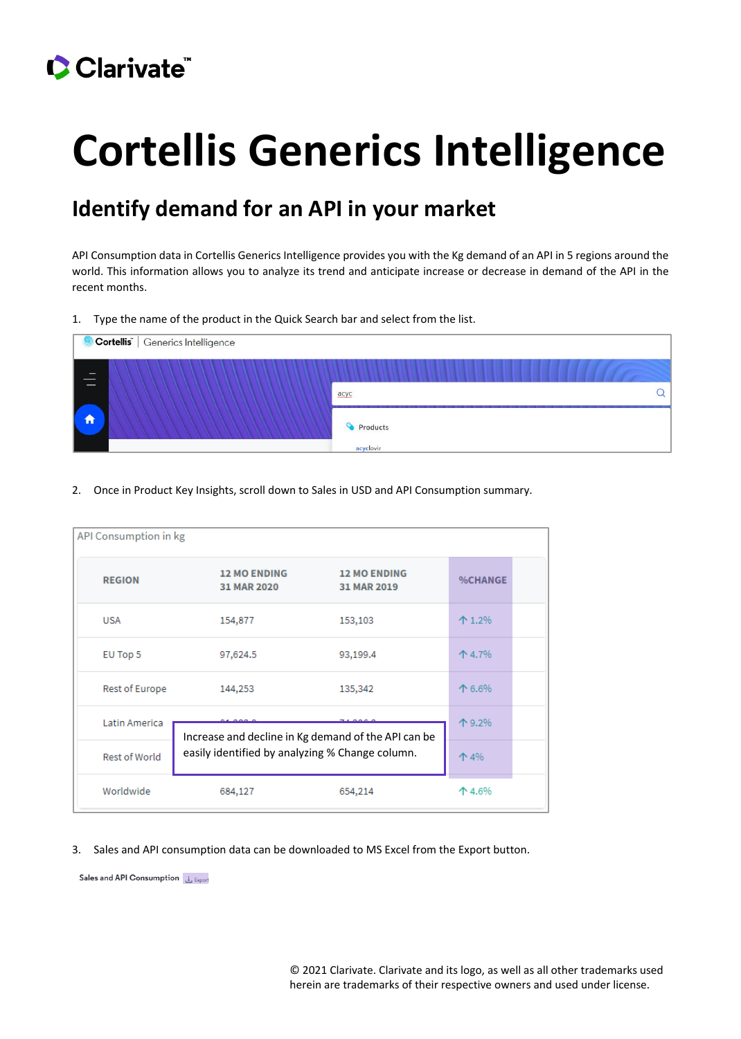## Clarivate

# **Cortellis Generics Intelligence**

### **Identify demand for an API in your market**

API Consumption data in Cortellis Generics Intelligence provides you with the Kg demand of an API in 5 regions around the world. This information allows you to analyze its trend and anticipate increase or decrease in demand of the API in the recent months.

#### 1. Type the name of the product in the Quick Search bar and select from the list.



#### 2. Once in Product Key Insights, scroll down to Sales in USD and API Consumption summary.

| API Consumption in kg |                                                     |                                    |                |
|-----------------------|-----------------------------------------------------|------------------------------------|----------------|
| <b>REGION</b>         | <b>12 MO ENDING</b><br>31 MAR 2020                  | <b>12 MO ENDING</b><br>31 MAR 2019 | <b>%CHANGE</b> |
| <b>USA</b>            | 154,877                                             | 153,103                            | $+ 1.2%$       |
| EU Top 5              | 97,624.5                                            | 93,199.4                           | 个 4.7%         |
| Rest of Europe        | 144,253                                             | 135,342                            | 个 6.6%         |
| Latin America         | $\sim$                                              | 个 9.2%                             |                |
|                       | Increase and decline in Kg demand of the API can be |                                    |                |
| Rest of World         | easily identified by analyzing % Change column.     | 个 4%                               |                |
| Worldwide             | 684,127                                             | 654,214                            | 个 4.6%         |

#### 3. Sales and API consumption data can be downloaded to MS Excel from the Export button.

Sales and API Consumption L Export